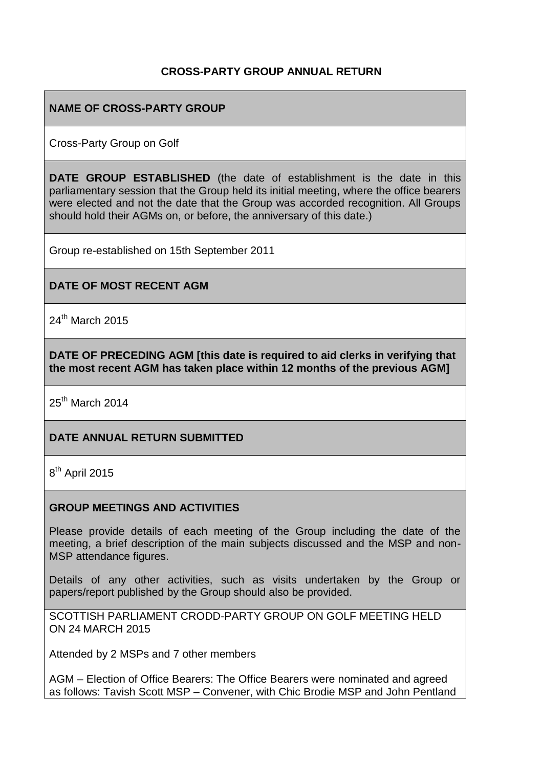## **CROSS-PARTY GROUP ANNUAL RETURN**

## **NAME OF CROSS-PARTY GROUP**

Cross-Party Group on Golf

**DATE GROUP ESTABLISHED** (the date of establishment is the date in this parliamentary session that the Group held its initial meeting, where the office bearers were elected and not the date that the Group was accorded recognition. All Groups should hold their AGMs on, or before, the anniversary of this date.)

Group re-established on 15th September 2011

#### **DATE OF MOST RECENT AGM**

 $24<sup>th</sup>$  March 2015

**DATE OF PRECEDING AGM [this date is required to aid clerks in verifying that the most recent AGM has taken place within 12 months of the previous AGM]**

25<sup>th</sup> March 2014

#### **DATE ANNUAL RETURN SUBMITTED**

8<sup>th</sup> April 2015

#### **GROUP MEETINGS AND ACTIVITIES**

Please provide details of each meeting of the Group including the date of the meeting, a brief description of the main subjects discussed and the MSP and non-MSP attendance figures.

Details of any other activities, such as visits undertaken by the Group or papers/report published by the Group should also be provided.

SCOTTISH PARLIAMENT CRODD-PARTY GROUP ON GOLF MEETING HELD ON 24 MARCH 2015

Attended by 2 MSPs and 7 other members

AGM – Election of Office Bearers: The Office Bearers were nominated and agreed as follows: Tavish Scott MSP – Convener, with Chic Brodie MSP and John Pentland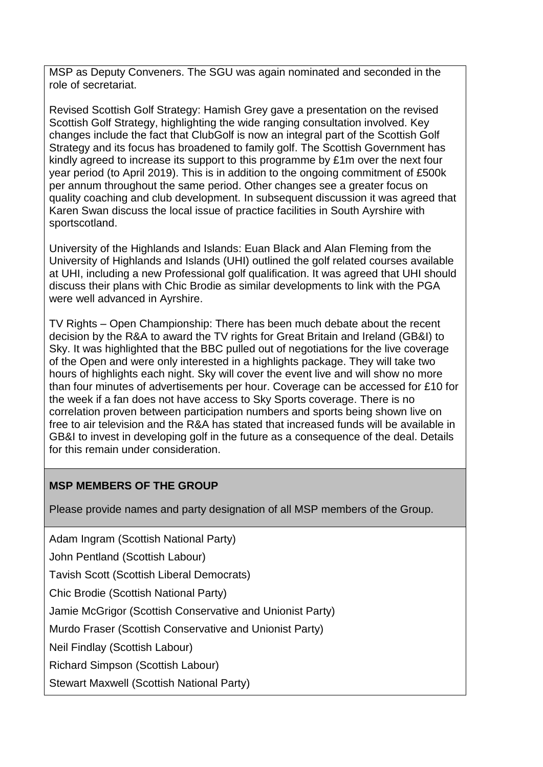MSP as Deputy Conveners. The SGU was again nominated and seconded in the role of secretariat.

Revised Scottish Golf Strategy: Hamish Grey gave a presentation on the revised Scottish Golf Strategy, highlighting the wide ranging consultation involved. Key changes include the fact that ClubGolf is now an integral part of the Scottish Golf Strategy and its focus has broadened to family golf. The Scottish Government has kindly agreed to increase its support to this programme by £1m over the next four year period (to April 2019). This is in addition to the ongoing commitment of £500k per annum throughout the same period. Other changes see a greater focus on quality coaching and club development. In subsequent discussion it was agreed that Karen Swan discuss the local issue of practice facilities in South Ayrshire with sportscotland.

University of the Highlands and Islands: Euan Black and Alan Fleming from the University of Highlands and Islands (UHI) outlined the golf related courses available at UHI, including a new Professional golf qualification. It was agreed that UHI should discuss their plans with Chic Brodie as similar developments to link with the PGA were well advanced in Ayrshire.

TV Rights – Open Championship: There has been much debate about the recent decision by the R&A to award the TV rights for Great Britain and Ireland (GB&I) to Sky. It was highlighted that the BBC pulled out of negotiations for the live coverage of the Open and were only interested in a highlights package. They will take two hours of highlights each night. Sky will cover the event live and will show no more than four minutes of advertisements per hour. Coverage can be accessed for £10 for the week if a fan does not have access to Sky Sports coverage. There is no correlation proven between participation numbers and sports being shown live on free to air television and the R&A has stated that increased funds will be available in GB&I to invest in developing golf in the future as a consequence of the deal. Details for this remain under consideration.

## **MSP MEMBERS OF THE GROUP**

Please provide names and party designation of all MSP members of the Group.

Adam Ingram (Scottish National Party)

John Pentland (Scottish Labour)

Tavish Scott (Scottish Liberal Democrats)

Chic Brodie (Scottish National Party)

Jamie McGrigor (Scottish Conservative and Unionist Party)

Murdo Fraser (Scottish Conservative and Unionist Party)

Neil Findlay (Scottish Labour)

Richard Simpson (Scottish Labour)

Stewart Maxwell (Scottish National Party)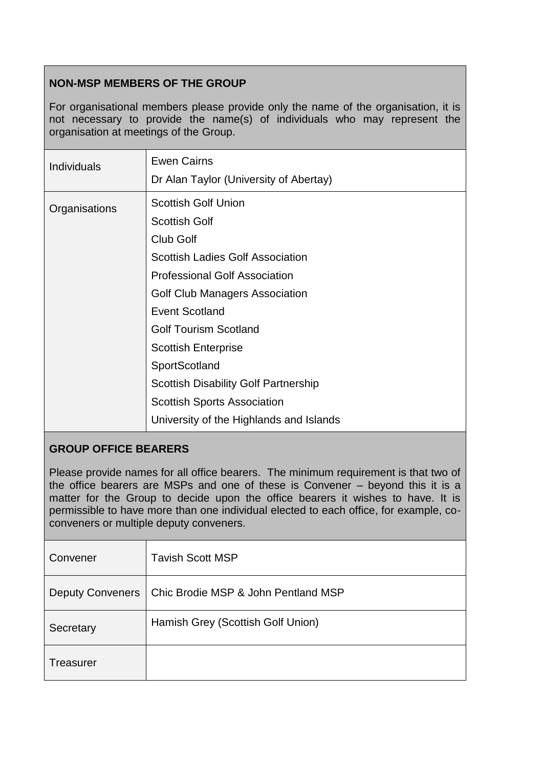# **NON-MSP MEMBERS OF THE GROUP**

For organisational members please provide only the name of the organisation, it is not necessary to provide the name(s) of individuals who may represent the organisation at meetings of the Group.

| Individuals   | <b>Ewen Cairns</b><br>Dr Alan Taylor (University of Abertay)                                                                                                                                                                                                                                                                                                                                                                 |
|---------------|------------------------------------------------------------------------------------------------------------------------------------------------------------------------------------------------------------------------------------------------------------------------------------------------------------------------------------------------------------------------------------------------------------------------------|
| Organisations | <b>Scottish Golf Union</b><br><b>Scottish Golf</b><br>Club Golf<br><b>Scottish Ladies Golf Association</b><br><b>Professional Golf Association</b><br>Golf Club Managers Association<br><b>Event Scotland</b><br><b>Golf Tourism Scotland</b><br><b>Scottish Enterprise</b><br>SportScotland<br><b>Scottish Disability Golf Partnership</b><br><b>Scottish Sports Association</b><br>University of the Highlands and Islands |

## **GROUP OFFICE BEARERS**

Please provide names for all office bearers. The minimum requirement is that two of the office bearers are MSPs and one of these is Convener – beyond this it is a matter for the Group to decide upon the office bearers it wishes to have. It is permissible to have more than one individual elected to each office, for example, coconveners or multiple deputy conveners.

| Convener                | <b>Tavish Scott MSP</b>             |
|-------------------------|-------------------------------------|
| <b>Deputy Conveners</b> | Chic Brodie MSP & John Pentland MSP |
| Secretary               | Hamish Grey (Scottish Golf Union)   |
| Treasurer               |                                     |